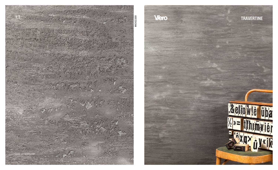

Viero